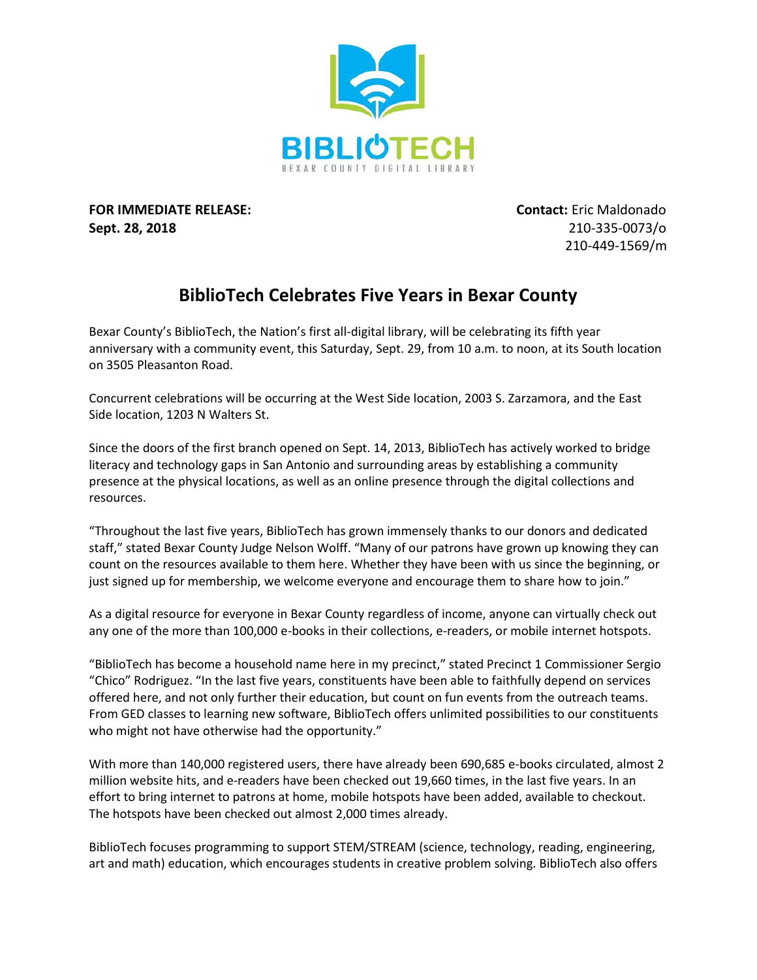

**FOR IMMEDIATE RELEASE: Contact:** Eric Maldonado **Sept. 28, 2018** 210-335-0073/o

210-449-1569/m

## **BiblioTech Celebrates Five Years in Bexar County**

Bexar County's BiblioTech, the Nation's first all-digital library, will be celebrating its fifth year anniversary with a community event, this Saturday, Sept. 29, from 10 a.m. to noon, at its South location on 3505 Pleasanton Road.

Concurrent celebrations will be occurring at the West Side location, 2003 S. Zarzamora, and the East Side location, 1203 N Walters St.

Since the doors of the first branch opened on Sept. 14, 2013, BiblioTech has actively worked to bridge literacy and technology gaps in San Antonio and surrounding areas by establishing a community presence at the physical locations, as well as an online presence through the digital collections and resources.

"Throughout the last five years, BiblioTech has grown immensely thanks to our donors and dedicated staff," stated Bexar County Judge Nelson Wolff. "Many of our patrons have grown up knowing they can count on the resources available to them here. Whether they have been with us since the beginning, or just signed up for membership, we welcome everyone and encourage them to share how to join."

As a digital resource for everyone in Bexar County regardless of income, anyone can virtually check out any one of the more than 100,000 e-books in their collections, e-readers, or mobile internet hotspots.

"BiblioTech has become a household name here in my precinct," stated Precinct 1 Commissioner Sergio "Chico" Rodriguez. "In the last five years, constituents have been able to faithfully depend on services offered here, and not only further their education, but count on fun events from the outreach teams. From GED classes to learning new software, BiblioTech offers unlimited possibilities to our constituents who might not have otherwise had the opportunity."

With more than 140,000 registered users, there have already been 690,685 e-books circulated, almost 2 million website hits, and e-readers have been checked out 19,660 times, in the last five years. In an effort to bring internet to patrons at home, mobile hotspots have been added, available to checkout. The hotspots have been checked out almost 2,000 times already.

BiblioTech focuses programming to support STEM/STREAM (science, technology, reading, engineering, art and math) education, which encourages students in creative problem solving. BiblioTech also offers